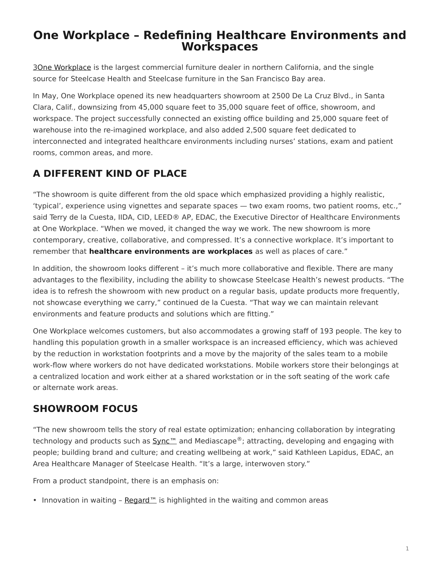# <span id="page-0-0"></span>**One Workplace – Redefining Healthcare Environments and Workspaces**

[3One Workplace](http://www.oneworkplace.com/) is the largest commercial furniture dealer in northern California, and the single source for Steelcase Health and Steelcase furniture in the San Francisco Bay area.

In May, One Workplace opened its new headquarters showroom at 2500 De La Cruz Blvd., in Santa Clara, Calif., downsizing from 45,000 square feet to 35,000 square feet of office, showroom, and workspace. The project successfully connected an existing office building and 25,000 square feet of warehouse into the re-imagined workplace, and also added 2,500 square feet dedicated to interconnected and integrated healthcare environments including nurses' stations, exam and patient rooms, common areas, and more.

# **A DIFFERENT KIND OF PLACE**

"The showroom is quite different from the old space which emphasized providing a highly realistic, 'typical', experience using vignettes and separate spaces — two exam rooms, two patient rooms, etc.," said Terry de la Cuesta, IIDA, CID, LEED® AP, EDAC, the Executive Director of Healthcare Environments at One Workplace. "When we moved, it changed the way we work. The new showroom is more contemporary, creative, collaborative, and compressed. It's a connective workplace. It's important to remember that **healthcare environments are workplaces** as well as places of care."

In addition, the showroom looks different – it's much more collaborative and flexible. There are many advantages to the flexibility, including the ability to showcase Steelcase Health's newest products. "The idea is to refresh the showroom with new product on a regular basis, update products more frequently, not showcase everything we carry," continued de la Cuesta. "That way we can maintain relevant environments and feature products and solutions which are fitting."

One Workplace welcomes customers, but also accommodates a growing staff of 193 people. The key to handling this population growth in a smaller workspace is an increased efficiency, which was achieved by the reduction in workstation footprints and a move by the majority of the sales team to a mobile work-flow where workers do not have dedicated workstations. Mobile workers store their belongings at a centralized location and work either at a shared workstation or in the soft seating of the work cafe or alternate work areas.

### **SHOWROOM FOCUS**

"The new showroom tells the story of real estate optimization; enhancing collaboration by integrating technology and products such as  $Sym<sup>m</sup>$  and Mediascape<sup>®</sup>; attracting, developing and engaging with people; building brand and culture; and creating wellbeing at work," said Kathleen Lapidus, EDAC, an Area Healthcare Manager of Steelcase Health. "It's a large, interwoven story."

From a product standpoint, there is an emphasis on:

• Innovation in waiting – Regard<sup>™</sup> is highlighted in the waiting and common areas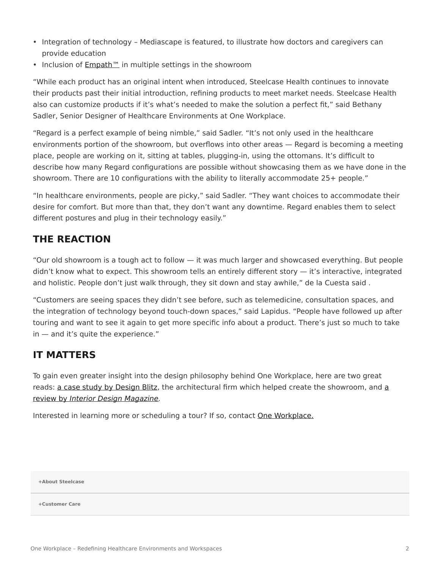- Integration of technology Mediascape is featured, to illustrate how doctors and caregivers can provide education
- Inclusion of **[Empath™](https://www.steelcase.com/products/patient-bariatric-chairs/empath/)** in multiple settings in the showroom

"While each product has an original intent when introduced, Steelcase Health continues to innovate their products past their initial introduction, refining products to meet market needs. Steelcase Health also can customize products if it's what's needed to make the solution a perfect fit," said Bethany Sadler, Senior Designer of Healthcare Environments at One Workplace.

"Regard is a perfect example of being nimble," said Sadler. "It's not only used in the healthcare environments portion of the showroom, but overflows into other areas — Regard is becoming a meeting place, people are working on it, sitting at tables, plugging-in, using the ottomans. It's difficult to describe how many Regard configurations are possible without showcasing them as we have done in the showroom. There are 10 configurations with the ability to literally accommodate 25+ people."

"In healthcare environments, people are picky," said Sadler. "They want choices to accommodate their desire for comfort. But more than that, they don't want any downtime. Regard enables them to select different postures and plug in their technology easily."

### **THE REACTION**

"Our old showroom is a tough act to follow — it was much larger and showcased everything. But people didn't know what to expect. This showroom tells an entirely different story — it's interactive, integrated and holistic. People don't just walk through, they sit down and stay awhile," de la Cuesta said .

"Customers are seeing spaces they didn't see before, such as telemedicine, consultation spaces, and the integration of technology beyond touch-down spaces," said Lapidus. "People have followed up after touring and want to see it again to get more specific info about a product. There's just so much to take in — and it's quite the experience."

### **IT MATTERS**

To gain even greater insight into the design philosophy behind One Workplace, here are two great reads: [a case study by](https://studioblitz.com/work/one-workplace/) Design Blitz, the [a](http://www.interiordesign.net/article/565256-Do_the_Math_Blitz_Makes_One_Workplace_Two.php?intref=sr)rchitectural firm which helped create the showroom, and a [review by](http://www.interiordesign.net/article/565256-Do_the_Math_Blitz_Makes_One_Workplace_Two.php?intref=sr) *[Interior Design Magazine.](http://www.interiordesign.net/article/565256-Do_the_Math_Blitz_Makes_One_Workplace_Two.php?intref=sr)*

Interested in learning more or scheduling a tour? If so, contact [One Workplace.](http://www.oneworkplace.com/locations/)

**[+About Steelcase](https://www.steelcase.com/discover/steelcase/our-company/)**

**[+Customer Care](#page-0-0)**